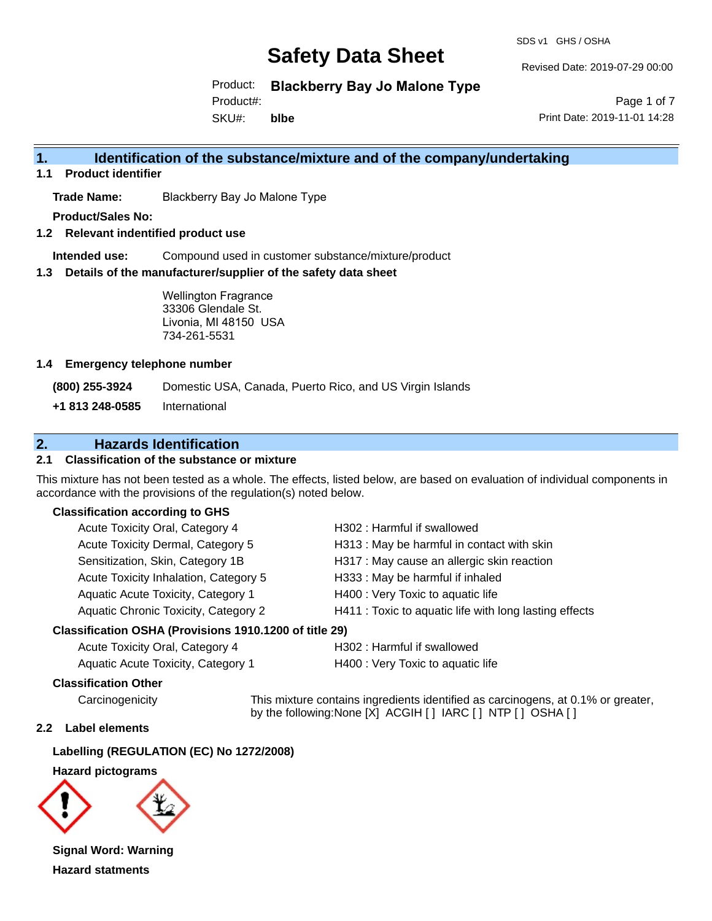SDS v1 GHS / OSHA

Revised Date: 2019-07-29 00:00

Product: **Blackberry Bay Jo Malone Type**

Product#:

SKU#: **blbe**

Page 1 of 7 Print Date: 2019-11-01 14:28

# **1. Identification of the substance/mixture and of the company/undertaking**

**1.1 Product identifier**

**Trade Name:** Blackberry Bay Jo Malone Type

**Product/Sales No:**

**1.2 Relevant indentified product use**

**Intended use:** Compound used in customer substance/mixture/product

**1.3 Details of the manufacturer/supplier of the safety data sheet**

Wellington Fragrance 33306 Glendale St. Livonia, MI 48150 USA 734-261-5531

#### **1.4 Emergency telephone number**

**(800) 255-3924** Domestic USA, Canada, Puerto Rico, and US Virgin Islands

**+1 813 248-0585** International

# **2. Hazards Identification**

### **2.1 Classification of the substance or mixture**

This mixture has not been tested as a whole. The effects, listed below, are based on evaluation of individual components in accordance with the provisions of the regulation(s) noted below.

#### **Classification according to GHS**

| Acute Toxicity Oral, Category 4       | H302 : Harmful if swallowed                            |
|---------------------------------------|--------------------------------------------------------|
| Acute Toxicity Dermal, Category 5     | H313: May be harmful in contact with skin              |
| Sensitization, Skin, Category 1B      | H317 : May cause an allergic skin reaction             |
| Acute Toxicity Inhalation, Category 5 | H333: May be harmful if inhaled                        |
| Aquatic Acute Toxicity, Category 1    | H400 : Very Toxic to aquatic life                      |
| Aquatic Chronic Toxicity, Category 2  | H411 : Toxic to aquatic life with long lasting effects |
|                                       |                                                        |

#### **Classification OSHA (Provisions 1910.1200 of title 29)**

| Acute Toxicity Oral, Category 4    |  |
|------------------------------------|--|
| Aquatic Acute Toxicity, Category 1 |  |

H302 : Harmful if swallowed

H400 : Very Toxic to aquatic life

#### **Classification Other**

Carcinogenicity This mixture contains ingredients identified as carcinogens, at 0.1% or greater, by the following:None [X] ACGIH [ ] IARC [ ] NTP [ ] OSHA [ ]

#### **2.2 Label elements**

#### **Labelling (REGULATION (EC) No 1272/2008)**

#### **Hazard pictograms**



**Signal Word: Warning Hazard statments**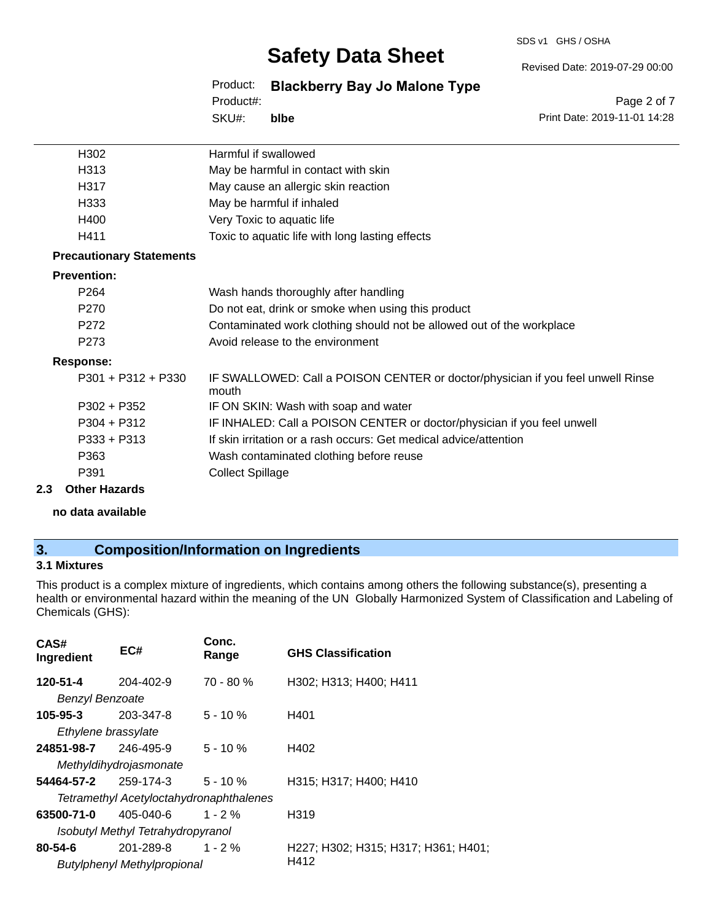#### SDS v1 GHS / OSHA

# **Safety Data Sheet**

Revised Date: 2019-07-29 00:00

Product: **Blackberry Bay Jo Malone Type**

SKU#: Product#: **blbe**

Page 2 of 7 Print Date: 2019-11-01 14:28

| H302                            | Harmful if swallowed                                                                     |
|---------------------------------|------------------------------------------------------------------------------------------|
| H313                            | May be harmful in contact with skin                                                      |
| H317                            | May cause an allergic skin reaction                                                      |
| H333                            | May be harmful if inhaled                                                                |
| H400                            | Very Toxic to aquatic life                                                               |
| H411                            | Toxic to aquatic life with long lasting effects                                          |
| <b>Precautionary Statements</b> |                                                                                          |
| <b>Prevention:</b>              |                                                                                          |
| P <sub>264</sub>                | Wash hands thoroughly after handling                                                     |
| P <sub>270</sub>                | Do not eat, drink or smoke when using this product                                       |
| P <sub>272</sub>                | Contaminated work clothing should not be allowed out of the workplace                    |
| P273                            | Avoid release to the environment                                                         |
| <b>Response:</b>                |                                                                                          |
| $P301 + P312 + P330$            | IF SWALLOWED: Call a POISON CENTER or doctor/physician if you feel unwell Rinse<br>mouth |
| $P302 + P352$                   | IF ON SKIN: Wash with soap and water                                                     |
| $P304 + P312$                   | IF INHALED: Call a POISON CENTER or doctor/physician if you feel unwell                  |
| $P333 + P313$                   | If skin irritation or a rash occurs: Get medical advice/attention                        |
| P363                            | Wash contaminated clothing before reuse                                                  |
| P391                            | <b>Collect Spillage</b>                                                                  |
|                                 |                                                                                          |

#### **2.3 Other Hazards**

**no data available**

# **3. Composition/Information on Ingredients**

### **3.1 Mixtures**

This product is a complex mixture of ingredients, which contains among others the following substance(s), presenting a health or environmental hazard within the meaning of the UN Globally Harmonized System of Classification and Labeling of Chemicals (GHS):

| CAS#<br>Ingredient     | EC#                                            | Conc.<br>Range | <b>GHS Classification</b>           |
|------------------------|------------------------------------------------|----------------|-------------------------------------|
| 120-51-4               | 204-402-9                                      | $70 - 80 \%$   | H302; H313; H400; H411              |
| <b>Benzyl Benzoate</b> |                                                |                |                                     |
| 105-95-3               | 203-347-8                                      | $5 - 10 \%$    | H401                                |
| Ethylene brassylate    |                                                |                |                                     |
| 24851-98-7             | 246-495-9                                      | $5 - 10 \%$    | H402                                |
|                        | Methyldihydrojasmonate                         |                |                                     |
| 54464-57-2             | 259-174-3                                      | $5 - 10 \%$    | H315; H317; H400; H410              |
|                        | <b>Tetramethyl Acetyloctahydronaphthalenes</b> |                |                                     |
| 63500-71-0             | 405-040-6                                      | $1 - 2 \%$     | H319                                |
|                        | Isobutyl Methyl Tetrahydropyranol              |                |                                     |
| 80-54-6                | 201-289-8                                      | $1 - 2\%$      | H227; H302; H315; H317; H361; H401; |
|                        | <b>Butylphenyl Methylpropional</b>             |                | H412                                |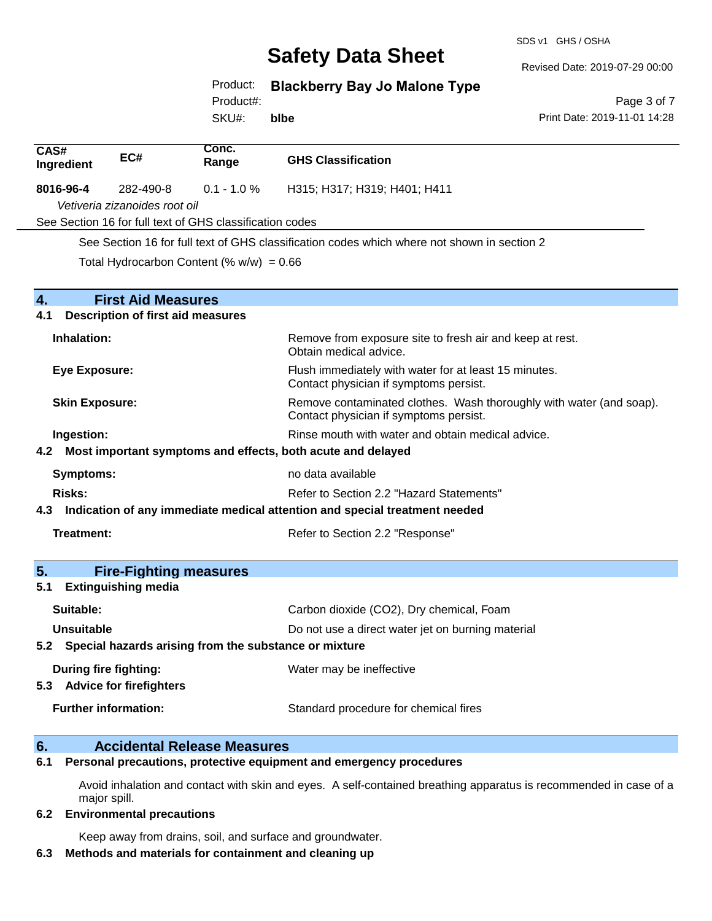SDS v1 GHS / OSHA

Revised Date: 2019-07-29 00:00

Product: **Blackberry Bay Jo Malone Type**

Product#:

SKU#: **blbe**

Page 3 of 7 Print Date: 2019-11-01 14:28

| CAS#<br>Ingredient                                   | EC#                                                                   | Conc.<br>Range | <b>GHS Classification</b>                                                                                     |
|------------------------------------------------------|-----------------------------------------------------------------------|----------------|---------------------------------------------------------------------------------------------------------------|
| 8016-96-4                                            | 282-490-8                                                             | $0.1 - 1.0 %$  | H315; H317; H319; H401; H411                                                                                  |
|                                                      | Vetiveria zizanoides root oil                                         |                |                                                                                                               |
|                                                      | See Section 16 for full text of GHS classification codes              |                |                                                                                                               |
|                                                      |                                                                       |                | See Section 16 for full text of GHS classification codes which where not shown in section 2                   |
|                                                      | Total Hydrocarbon Content (% $w/w$ ) = 0.66                           |                |                                                                                                               |
| $\overline{4}$ .<br>4.1                              | <b>First Aid Measures</b><br><b>Description of first aid measures</b> |                |                                                                                                               |
|                                                      |                                                                       |                |                                                                                                               |
| Inhalation:                                          |                                                                       |                | Remove from exposure site to fresh air and keep at rest.<br>Obtain medical advice.                            |
| <b>Eye Exposure:</b>                                 |                                                                       |                | Flush immediately with water for at least 15 minutes.<br>Contact physician if symptoms persist.               |
| <b>Skin Exposure:</b>                                |                                                                       |                | Remove contaminated clothes. Wash thoroughly with water (and soap).<br>Contact physician if symptoms persist. |
| Ingestion:                                           |                                                                       |                | Rinse mouth with water and obtain medical advice.                                                             |
|                                                      |                                                                       |                | 4.2 Most important symptoms and effects, both acute and delayed                                               |
| <b>Symptoms:</b>                                     |                                                                       |                | no data available                                                                                             |
| <b>Risks:</b>                                        |                                                                       |                | Refer to Section 2.2 "Hazard Statements"                                                                      |
| 4.3                                                  |                                                                       |                | Indication of any immediate medical attention and special treatment needed                                    |
| <b>Treatment:</b>                                    |                                                                       |                | Refer to Section 2.2 "Response"                                                                               |
| 5.                                                   | <b>Fire-Fighting measures</b>                                         |                |                                                                                                               |
| 5.1                                                  | <b>Extinguishing media</b>                                            |                |                                                                                                               |
| Suitable:                                            |                                                                       |                | Carbon dioxide (CO2), Dry chemical, Foam                                                                      |
| <b>Unsuitable</b>                                    |                                                                       |                | Do not use a direct water jet on burning material                                                             |
|                                                      | 5.2 Special hazards arising from the substance or mixture             |                |                                                                                                               |
| During fire fighting:<br>5.3 Advice for firefighters |                                                                       |                | Water may be ineffective                                                                                      |
| <b>Further information:</b>                          |                                                                       |                | Standard procedure for chemical fires                                                                         |

# **6. Accidental Release Measures**

**6.1 Personal precautions, protective equipment and emergency procedures**

Avoid inhalation and contact with skin and eyes. A self-contained breathing apparatus is recommended in case of a major spill.

#### **6.2 Environmental precautions**

Keep away from drains, soil, and surface and groundwater.

### **6.3 Methods and materials for containment and cleaning up**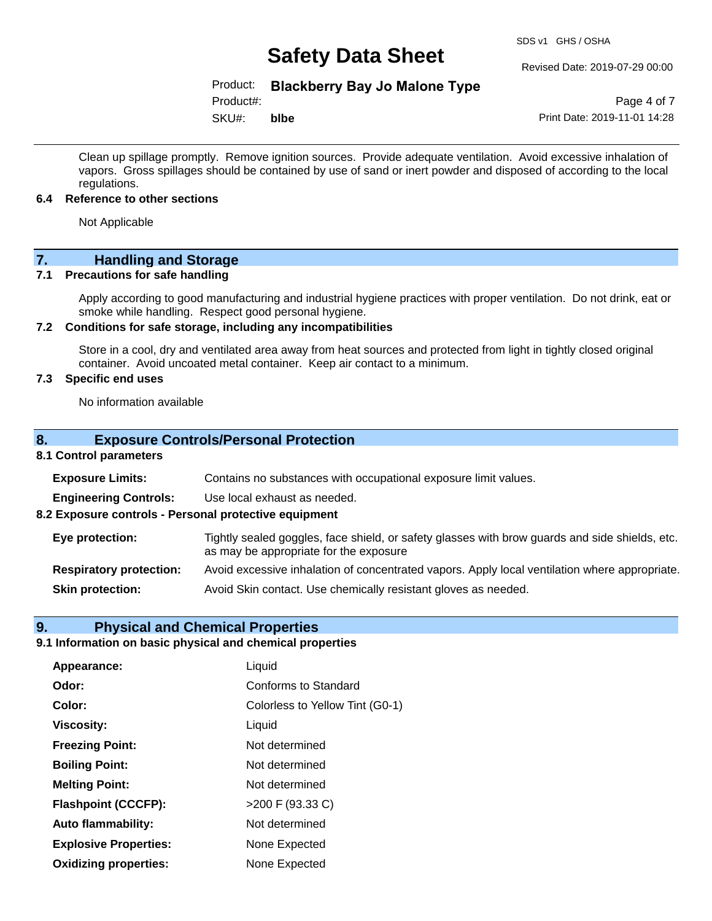#### Revised Date: 2019-07-29 00:00

### Product: **Blackberry Bay Jo Malone Type**

Product#:

SKU#: **blbe**

Page 4 of 7 Print Date: 2019-11-01 14:28

Clean up spillage promptly. Remove ignition sources. Provide adequate ventilation. Avoid excessive inhalation of vapors. Gross spillages should be contained by use of sand or inert powder and disposed of according to the local regulations.

#### **6.4 Reference to other sections**

Not Applicable

# **7.** Handling and Storage<br> **7.1** Precautions for safe handling

#### **Precautions for safe handling**

Apply according to good manufacturing and industrial hygiene practices with proper ventilation. Do not drink, eat or smoke while handling. Respect good personal hygiene.

#### **7.2 Conditions for safe storage, including any incompatibilities**

Store in a cool, dry and ventilated area away from heat sources and protected from light in tightly closed original container. Avoid uncoated metal container. Keep air contact to a minimum.

#### **7.3 Specific end uses**

No information available

#### **8. Exposure Controls/Personal Protection**

#### **8.1 Control parameters**

| <b>Exposure Limits:</b>                               | Contains no substances with occupational exposure limit values.                                                                          |
|-------------------------------------------------------|------------------------------------------------------------------------------------------------------------------------------------------|
| <b>Engineering Controls:</b>                          | Use local exhaust as needed.                                                                                                             |
| 8.2 Exposure controls - Personal protective equipment |                                                                                                                                          |
| Eye protection:                                       | Tightly sealed goggles, face shield, or safety glasses with brow guards and side shields, etc.<br>as may be appropriate for the exposure |
| <b>Respiratory protection:</b>                        | Avoid excessive inhalation of concentrated vapors. Apply local ventilation where appropriate.                                            |
| <b>Skin protection:</b>                               | Avoid Skin contact. Use chemically resistant gloves as needed.                                                                           |

#### **9. Physical and Chemical Properties**

### **9.1 Information on basic physical and chemical properties**

| Appearance:                  | Liquid                          |
|------------------------------|---------------------------------|
| Odor:                        | Conforms to Standard            |
| Color:                       | Colorless to Yellow Tint (G0-1) |
| <b>Viscosity:</b>            | Liquid                          |
| <b>Freezing Point:</b>       | Not determined                  |
| <b>Boiling Point:</b>        | Not determined                  |
| <b>Melting Point:</b>        | Not determined                  |
| <b>Flashpoint (CCCFP):</b>   | >200 F (93.33 C)                |
| <b>Auto flammability:</b>    | Not determined                  |
| <b>Explosive Properties:</b> | None Expected                   |
| <b>Oxidizing properties:</b> | None Expected                   |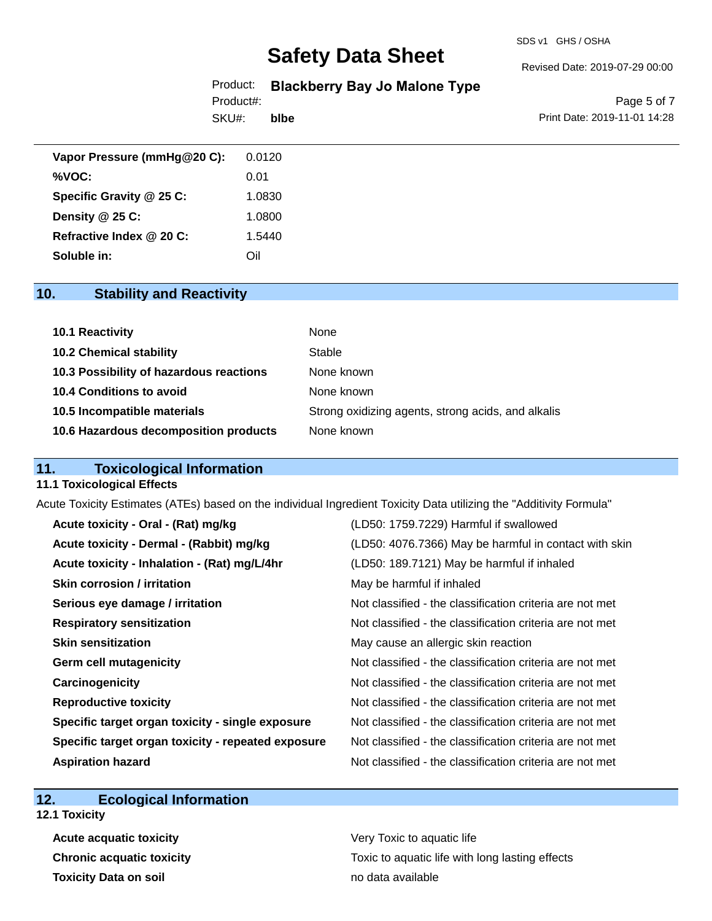#### SDS v1 GHS / OSHA

# **Safety Data Sheet**

#### Revised Date: 2019-07-29 00:00

### Product: **Blackberry Bay Jo Malone Type**

Product#:

SKU#: **blbe**

Page 5 of 7 Print Date: 2019-11-01 14:28

| Vapor Pressure (mmHg@20 C): | 0.0120 |
|-----------------------------|--------|
| %VOC:                       | 0.01   |
| Specific Gravity @ 25 C:    | 1.0830 |
| Density $@25C$ :            | 1.0800 |
| Refractive Index @ 20 C:    | 1.5440 |
| Soluble in:                 | Oil    |

# **10. Stability and Reactivity**

| 10.1 Reactivity                         | None                                               |
|-----------------------------------------|----------------------------------------------------|
| <b>10.2 Chemical stability</b>          | Stable                                             |
| 10.3 Possibility of hazardous reactions | None known                                         |
| 10.4 Conditions to avoid                | None known                                         |
| 10.5 Incompatible materials             | Strong oxidizing agents, strong acids, and alkalis |
| 10.6 Hazardous decomposition products   | None known                                         |

### **11. Toxicological Information**

#### **11.1 Toxicological Effects**

Acute Toxicity Estimates (ATEs) based on the individual Ingredient Toxicity Data utilizing the "Additivity Formula"

| Acute toxicity - Oral - (Rat) mg/kg                | (LD50: 1759.7229) Harmful if swallowed                   |
|----------------------------------------------------|----------------------------------------------------------|
| Acute toxicity - Dermal - (Rabbit) mg/kg           | (LD50: 4076.7366) May be harmful in contact with skin    |
| Acute toxicity - Inhalation - (Rat) mg/L/4hr       | (LD50: 189.7121) May be harmful if inhaled               |
| <b>Skin corrosion / irritation</b>                 | May be harmful if inhaled                                |
| Serious eye damage / irritation                    | Not classified - the classification criteria are not met |
| <b>Respiratory sensitization</b>                   | Not classified - the classification criteria are not met |
| <b>Skin sensitization</b>                          | May cause an allergic skin reaction                      |
| <b>Germ cell mutagenicity</b>                      | Not classified - the classification criteria are not met |
| Carcinogenicity                                    | Not classified - the classification criteria are not met |
| <b>Reproductive toxicity</b>                       | Not classified - the classification criteria are not met |
| Specific target organ toxicity - single exposure   | Not classified - the classification criteria are not met |
| Specific target organ toxicity - repeated exposure | Not classified - the classification criteria are not met |
| <b>Aspiration hazard</b>                           | Not classified - the classification criteria are not met |

### **12. Ecological Information**

**12.1 Toxicity**

**Acute acquatic toxicity Very Toxic to aquatic life Toxicity Data on soil no data available no data available** 

**Chronic acquatic toxicity Toxic to aquatic life with long lasting effects**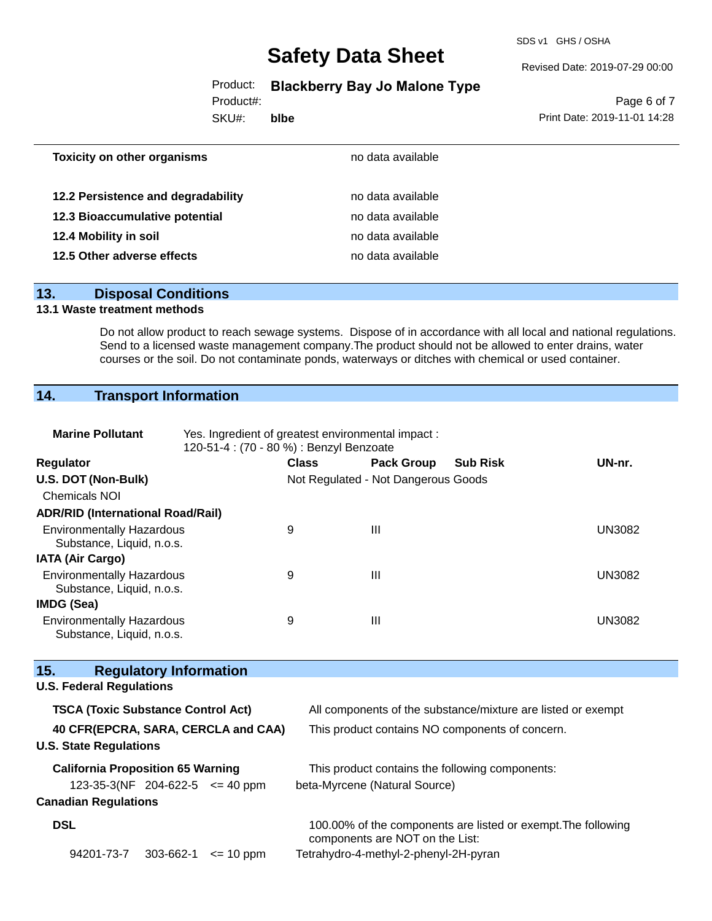SDS v1 GHS / OSHA

Revised Date: 2019-07-29 00:00

Product: **Blackberry Bay Jo Malone Type**

Product#:

SKU#: **blbe**

Page 6 of 7 Print Date: 2019-11-01 14:28

| <b>Toxicity on other organisms</b> | no data available |  |
|------------------------------------|-------------------|--|
| 12.2 Persistence and degradability | no data available |  |
| 12.3 Bioaccumulative potential     | no data available |  |
| 12.4 Mobility in soil              | no data available |  |
| 12.5 Other adverse effects         | no data available |  |
|                                    |                   |  |

#### **13. Disposal Conditions**

#### **13.1 Waste treatment methods**

Do not allow product to reach sewage systems. Dispose of in accordance with all local and national regulations. Send to a licensed waste management company.The product should not be allowed to enter drains, water courses or the soil. Do not contaminate ponds, waterways or ditches with chemical or used container.

# **14. Transport Information**

| <b>Marine Pollutant</b>                                              | Yes. Ingredient of greatest environmental impact:<br>120-51-4 : (70 - 80 %) : Benzyl Benzoate |              |                                     |                                                               |               |
|----------------------------------------------------------------------|-----------------------------------------------------------------------------------------------|--------------|-------------------------------------|---------------------------------------------------------------|---------------|
| <b>Regulator</b>                                                     |                                                                                               | <b>Class</b> | <b>Pack Group</b>                   | <b>Sub Risk</b>                                               | UN-nr.        |
| U.S. DOT (Non-Bulk)                                                  |                                                                                               |              | Not Regulated - Not Dangerous Goods |                                                               |               |
| Chemicals NOI                                                        |                                                                                               |              |                                     |                                                               |               |
| <b>ADR/RID (International Road/Rail)</b>                             |                                                                                               |              |                                     |                                                               |               |
| <b>Environmentally Hazardous</b><br>Substance, Liquid, n.o.s.        |                                                                                               | 9            | $\mathbf{III}$                      |                                                               | <b>UN3082</b> |
| <b>IATA (Air Cargo)</b>                                              |                                                                                               |              |                                     |                                                               |               |
| <b>Environmentally Hazardous</b><br>Substance, Liquid, n.o.s.        |                                                                                               | 9            | $\mathbf{III}$                      |                                                               | <b>UN3082</b> |
| <b>IMDG (Sea)</b>                                                    |                                                                                               |              |                                     |                                                               |               |
| <b>Environmentally Hazardous</b><br>Substance, Liquid, n.o.s.        |                                                                                               | 9            | Ш                                   |                                                               | <b>UN3082</b> |
|                                                                      |                                                                                               |              |                                     |                                                               |               |
| 15.<br><b>Regulatory Information</b>                                 |                                                                                               |              |                                     |                                                               |               |
| <b>U.S. Federal Regulations</b>                                      |                                                                                               |              |                                     |                                                               |               |
| <b>TSCA (Toxic Substance Control Act)</b>                            |                                                                                               |              |                                     | All components of the substance/mixture are listed or exempt  |               |
| 40 CFR(EPCRA, SARA, CERCLA and CAA)<br><b>U.S. State Regulations</b> |                                                                                               |              |                                     | This product contains NO components of concern.               |               |
| <b>California Proposition 65 Warning</b>                             |                                                                                               |              |                                     | This product contains the following components:               |               |
| 123-35-3(NF 204-622-5 $\leq$ 40 ppm                                  |                                                                                               |              | beta-Myrcene (Natural Source)       |                                                               |               |
| <b>Canadian Regulations</b>                                          |                                                                                               |              |                                     |                                                               |               |
| <b>DSL</b>                                                           |                                                                                               |              | components are NOT on the List:     | 100.00% of the components are listed or exempt. The following |               |